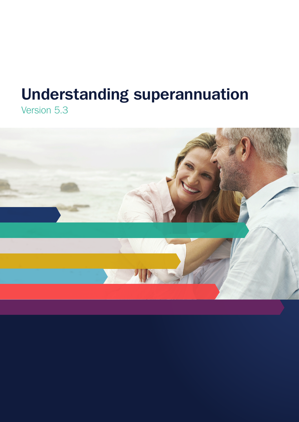# **Understanding superannuation**

Version 5.3

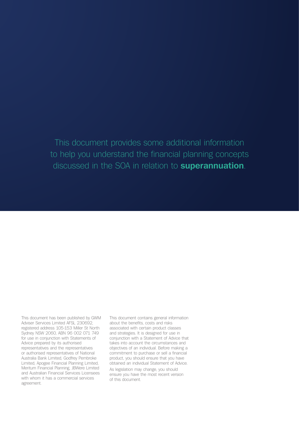This document provides some additional information to help you understand the financial planning concepts discussed in the SOA in relation to **superannuation**.

This document has been published by GWM Adviser Services Limited AFSL 230692, registered address 105-153 Miller St North Sydney NSW 2060, ABN 96 002 071 749 for use in conjunction with Statements of Advice prepared by its authorised representatives and the representatives or authorised representatives of National Australia Bank Limited, Godfrey Pembroke Limited, Apogee Financial Planning Limited, Meritum Financial Planning, JBWere Limited and Australian Financial Services Licensees with whom it has a commercial services agreement.

This document contains general information about the benefits, costs and risks associated with certain product classes and strategies. It is designed for use in conjunction with a Statement of Advice that takes into account the circumstances and objectives of an individual. Before making a commitment to purchase or sell a financial product, you should ensure that you have obtained an individual Statement of Advice.

As legislation may change, you should ensure you have the most recent version of this document.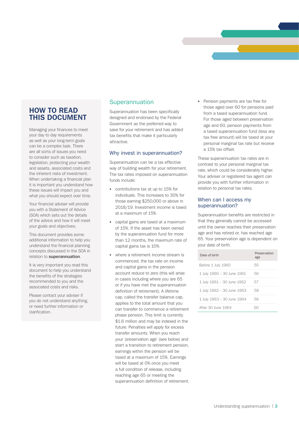# **HOW TO READ THIS DOCUMENT**

Managing your finances to meet your day to day requirements as well as your long-term goals can be a complex task. There are all sorts of issues you need to consider such as taxation, legislation, protecting your wealth and assets, associated costs and the inherent risks of investment. When undertaking a financial plan it is important you understand how these issues will impact you and what you should expect over time.

Your financial adviser will provide you with a Statement of Advice (SOA) which sets out the details of the advice and how it will meet your goals and objectives.

This document provides some additional information to help you understand the financial planning concepts discussed in the SOA in relation to **superannuation**.

It is very important you read this document to help you understand the benefits of the strategies recommended to you and the associated costs and risks.

Please contact your adviser if you do not understand anything, or need further information or clarification.

# **Superannuation**

Superannuation has been specifically designed and endorsed by the Federal Government as the preferred way to save for your retirement and has added tax benefits that make it particularly attractive.

## Why invest in superannuation?

Superannuation can be a tax effective way of building wealth for your retirement. The tax rates imposed on superannuation funds include:

- contributions tax at up to 15% for individuals. This increases to 30% for those earning \$250,000 or above in 2018/19. Investment income is taxed at a maximum of 15%
- capital gains are taxed at a maximum of 15%. If the asset has been owned by the superannuation fund for more than 12 months, the maximum rate of capital gains tax is 10%
- where a retirement income stream is commenced, the tax rate on income and capital gains in the pension account reduce to zero (this will arise in cases including where you are 65 or if you have met the superannuation definition of retirement). A lifetime cap, called the transfer balance cap, applies to the total amount that you can transfer to commence a retirement phase pension. This limit is currently \$1.6 million and may be indexed in the future. Penalties will apply for excess transfer amounts. When you reach your 'preservation age' (see below) and start a transition to retirement pension, earnings within the pension will be taxed at a maximum of 15%. Earnings will be taxed at 0% once you meet a full condition of release, including reaching age 65 or meeting the superannuation definition of retirement.

• Pension payments are tax free for those aged over 60 for pensions paid from a taxed superannuation fund. For those aged between preservation age and 60, pension payments from a taxed superannuation fund (less any tax free amount) will be taxed at your personal marginal tax rate but receive a 15% tax offset.

These superannuation tax rates are in contrast to your personal marginal tax rate, which could be considerably higher. Your adviser or registered tax agent can provide you with further information in relation to personal tax rates.

## When can I access my superannuation?

Superannuation benefits are restricted in that they generally cannot be accessed until the owner reaches their preservation age and has retired or, has reached age 65. Your preservation age is dependent on your date of birth.

| Date of birth              | Preservation<br>age |
|----------------------------|---------------------|
| Before 1 July 1960         | 55                  |
| 1 July 1960 - 30 June 1961 | 56                  |
| 1 July 1961 - 30 June 1962 | 57                  |
| 1 July 1962 - 30 June 1963 | 58                  |
| 1 July 1963 - 30 June 1964 | 59                  |
| After 30 June 1964         |                     |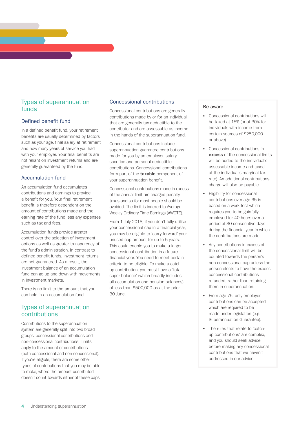# Types of superannuation funds

## Defined benefit fund

In a defined benefit fund, your retirement benefits are usually determined by factors such as your age, final salary at retirement and how many years of service you had with your employer. Your final benefits are not reliant on investment returns and are generally guaranteed by the fund.

# Accumulation fund

An accumulation fund accumulates contributions and earnings to provide a benefit for you. Your final retirement benefit is therefore dependent on the amount of contributions made and the earning rate of the fund less any expenses such as tax and fees.

Accumulation funds provide greater control over the selection of investment options as well as greater transparency of the fund's administration. In contrast to defined benefit funds, investment returns are not guaranteed. As a result, the investment balance of an accumulation fund can go up and down with movements in investment markets.

There is no limit to the amount that you can hold in an accumulation fund.

# Types of superannuation contributions

Contributions to the superannuation system are generally split into two broad groups; concessional contributions and non-concessional contributions. Limits apply to the amount of contributions (both concessional and non-concessional). If you're eligible, there are some other types of contributions that you may be able to make, where the amount contributed doesn't count towards either of these caps.

## Concessional contributions

Concessional contributions are generally contributions made by or for an individual that are generally tax deductible to the contributor and are assessable as income in the hands of the superannuation fund.

Concessional contributions include superannuation guarantee contributions made for you by an employer, salary sacrifice and personal deductible contributions. Concessional contributions form part of the **taxable** component of your superannuation benefit.

Concessional contributions made in excess of the annual limit are charged penalty taxes and so for most people should be avoided. The limit is indexed to Average Weekly Ordinary Time Earnings (AWOTE).

From 1 July 2018, if you don't fully utilise your concessional cap in a financial year, you may be eligible to 'carry forward' your unused cap amount for up to 5 years. This could enable you to make a larger concessional contribution in a future financial year. You need to meet certain criteria to be eligible. To make a catch up contribution, you must have a 'total super balance' (which broadly includes all accumulation and pension balances) of less than \$500,000 as at the prior 30 June.

#### Be aware

- Concessional contributions will be taxed at 15% (or at 30% for individuals with income from certain sources of \$250,000 or above).
- Concessional contributions in **excess** of the concessional limits will be added to the individual's assessable income and taxed at the individual's marginal tax rate). An additional contributions charge will also be payable.
- Eligibility for concessional contributions over age 65 is based on a work test which requires you to be gainfully employed for 40 hours over a period of 30 consecutive days during the financial year in which the contributions are made.
- Any contributions in excess of the concessional limit will be counted towards the person's non-concessional cap unless the person elects to have the excess concessional contributions refunded, rather than retaining them in superannuation.
- From age 75, only employer contributions can be accepted which are required to be made under legislation (e.g. Superannuation Guarantee).
- The rules that relate to 'catchup contributions' are complex, and you should seek advice before making any concessional contributions that we haven't addressed in our advice.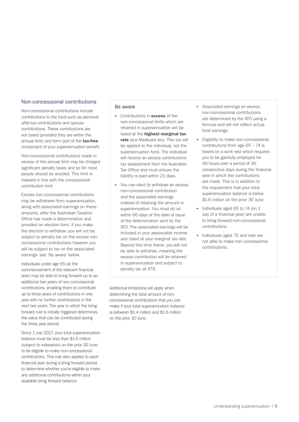## Non-concessional contributions

Non-concessional contributions include contributions to the fund such as personal after-tax contributions and spouse contributions. These contributions are not taxed (provided they are within the annual limit) and form part of the **tax-free** component of your superannuation benefit.

Non-concessional contributions made in excess of the annual limit may be charged significant penalty taxes and so for most people should be avoided. This limit is indexed in line with the concessional contribution limit.

Excess non-concessional contributions may be withdrawn from superannuation, along with associated earnings on these amounts, after the Australian Taxation Office has made a determination and provided an election form. If you make the election to withdraw, you will not be subject to penalty tax on the excess nonconcessional contributions however you will be subject to tax on the associated earnings- see 'Be aware' below.

Individuals under age 65 (at the commencement of the relevant financial year) may be able to bring forward up to an additional two years of non-concessional contributions, enabling them to contribute up to three years of contributions in one year with no further contributions in the next two years. The year in which the bring forward rule is initially triggered determines the value that can be contributed during the three year period.

Since 1 July 2017, your total superannuation balance must be less than \$1.6 million (subject to indexation) on the prior 30 June to be eligible to make non-concessional contributions. This rule also applies to each financial year during a bring forward period, to determine whether you're eligible to make any additional contributions within your available bring forward balance.

#### Be aware

- Contributions in **excess** of the non-concessional limits which are retained in superannuation will be taxed at the **highest marginal tax rate** plus Medicare levy. This tax will be applied to the individual, not the superannuation fund. The individual will receive an excess contributions tax assessment from the Australian Tax Office and must ensure the liability is paid within 21 days.
- You can elect to withdraw an excess non-concessional contribution and the associated earnings instead of retaining the amount in superannuation. You must do so within 60 days of the date of issue of the determination sent by the ATO. The associated earnings will be included in your assessable income and taxed at your marginal tax rate. Beyond this time frame, you will not be able to withdraw, meaning the excess contribution will be retained in superannuation and subject to penalty tax at 47%.

Additional limitations will apply when determining the total amount of nonconcessional contributions that you can make if your total superannuation balance is between \$1.4 million and \$1.6 million on the prior 30 June.

- Associated earnings on excess non-concessional contributions are determined by the ATO using a formula and will not reflect actual fund earnings.
- Eligibility to make non-concessional contributions from age 65 – 74 is based on a work test which requires you to be gainfully employed for 40 hours over a period of 30 consecutive days during the financial year in which the contributions are made. This is in addition to the requirement that your total superannuation balance is below \$1.6 million on the prior 30 June.
- Individuals aged 65 to 74 (on 1 July of a financial year) are unable to bring forward non-concessional contributions.
- Individuals aged 75 and over are not able to make non-concessional contributions.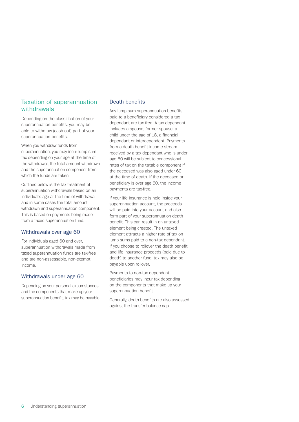# Taxation of superannuation withdrawals

Depending on the classification of your superannuation benefits, you may be able to withdraw (cash out) part of your superannuation benefits.

When you withdraw funds from superannuation, you may incur lump sum tax depending on your age at the time of the withdrawal, the total amount withdrawn and the superannuation component from which the funds are taken.

Outlined below is the tax treatment of superannuation withdrawals based on an individual's age at the time of withdrawal and in some cases the total amount withdrawn and superannuation component. This is based on payments being made from a taxed superannuation fund.

#### Withdrawals over age 60

For individuals aged 60 and over, superannuation withdrawals made from taxed superannuation funds are tax-free and are non-assessable, non-exempt income.

#### Withdrawals under age 60

Depending on your personal circumstances and the components that make up your superannuation benefit, tax may be payable.

## Death benefits

Any lump sum superannuation benefits paid to a beneficiary considered a tax dependant are tax free. A tax dependant includes a spouse, former spouse, a child under the age of 18, a financial dependant or interdependent. Payments from a death benefit income stream received by a tax dependant who is under age 60 will be subject to concessional rates of tax on the taxable component if the deceased was also aged under 60 at the time of death. If the deceased or beneficiary is over age 60, the income payments are tax-free.

If your life insurance is held inside your superannuation account, the proceeds will be paid into your account and also form part of your superannuation death benefit. This can result in an untaxed element being created. The untaxed element attracts a higher rate of tax on lump sums paid to a non-tax dependant. If you choose to rollover the death benefit and life insurance proceeds (paid due to death) to another fund, tax may also be payable upon rollover.

Payments to non-tax dependant beneficiaries may incur tax depending on the components that make up your superannuation benefit.

Generally, death benefits are also assessed against the transfer balance cap.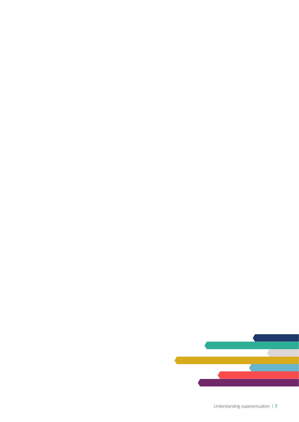